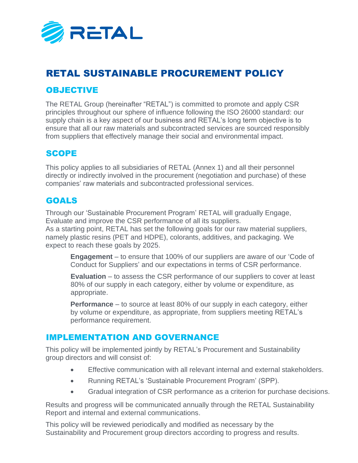

# RETAL SUSTAINABLE PROCUREMENT POLICY

### OBJECTIVE

The RETAL Group (hereinafter "RETAL") is committed to promote and apply CSR principles throughout our sphere of influence following the ISO 26000 standard: our supply chain is a key aspect of our business and RETAL's long term objective is to ensure that all our raw materials and subcontracted services are sourced responsibly from suppliers that effectively manage their social and environmental impact.

#### SCOPE

This policy applies to all subsidiaries of RETAL (Annex 1) and all their personnel directly or indirectly involved in the procurement (negotiation and purchase) of these companies' raw materials and subcontracted professional services.

#### GOALS

Through our 'Sustainable Procurement Program' RETAL will gradually Engage, Evaluate and improve the CSR performance of all its suppliers. As a starting point, RETAL has set the following goals for our raw material suppliers, namely plastic resins (PET and HDPE), colorants, additives, and packaging. We expect to reach these goals by 2025.

**Engagement** – to ensure that 100% of our suppliers are aware of our 'Code of Conduct for Suppliers' and our expectations in terms of CSR performance.

**Evaluation** – to assess the CSR performance of our suppliers to cover at least 80% of our supply in each category, either by volume or expenditure, as appropriate.

**Performance** – to source at least 80% of our supply in each category, either by volume or expenditure, as appropriate, from suppliers meeting RETAL's performance requirement.

#### IMPLEMENTATION AND GOVERNANCE

This policy will be implemented jointly by RETAL's Procurement and Sustainability group directors and will consist of:

- Effective communication with all relevant internal and external stakeholders.
- Running RETAL's 'Sustainable Procurement Program' (SPP).
- Gradual integration of CSR performance as a criterion for purchase decisions.

Results and progress will be communicated annually through the RETAL Sustainability Report and internal and external communications.

This policy will be reviewed periodically and modified as necessary by the Sustainability and Procurement group directors according to progress and results.